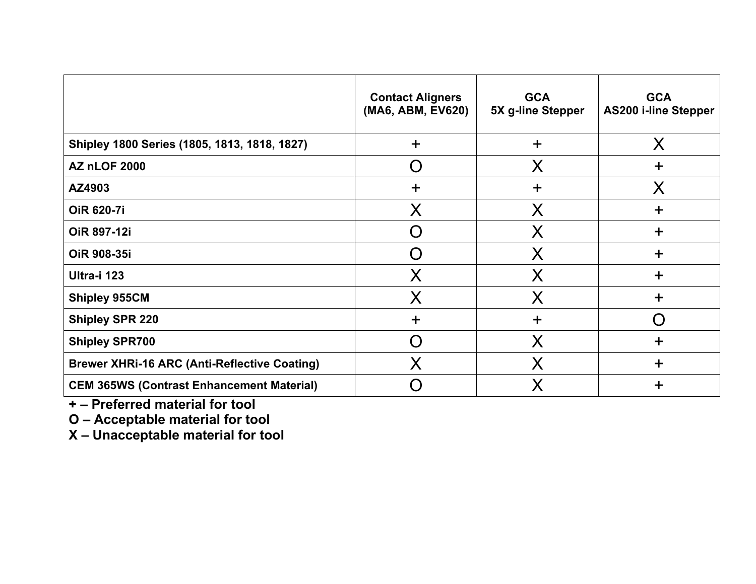|                                                     | <b>Contact Aligners</b><br>(MA6, ABM, EV620) | <b>GCA</b><br>5X g-line Stepper | <b>GCA</b><br><b>AS200 i-line Stepper</b> |
|-----------------------------------------------------|----------------------------------------------|---------------------------------|-------------------------------------------|
| Shipley 1800 Series (1805, 1813, 1818, 1827)        | $\div$                                       | $\ddot{}$                       | X                                         |
| <b>AZ nLOF 2000</b>                                 | $\Box$                                       | Χ                               | $\ddot{}$                                 |
| AZ4903                                              | $\mathbf +$                                  | $\ddot{}$                       | X                                         |
| <b>OiR 620-7i</b>                                   | X                                            | X                               | $\div$                                    |
| OiR 897-12i                                         | 〔 〕                                          | X                               | $\ddot{}$                                 |
| OiR 908-35i                                         | $\Box$                                       | X                               | $\div$                                    |
| Ultra-i 123                                         | X                                            | X                               | ╈                                         |
| <b>Shipley 955CM</b>                                | X                                            | X                               | $\ddot{}$                                 |
| <b>Shipley SPR 220</b>                              | ┿                                            | $\ddot{}$                       |                                           |
| <b>Shipley SPR700</b>                               | $\Box$                                       | X                               | $\div$                                    |
| <b>Brewer XHRi-16 ARC (Anti-Reflective Coating)</b> | X                                            | X                               | $\ddot{}$                                 |
| <b>CEM 365WS (Contrast Enhancement Material)</b>    |                                              | Χ                               | ╈                                         |

**+ – Preferred material for tool**

**O – Acceptable material for tool**

**X – Unacceptable material for tool**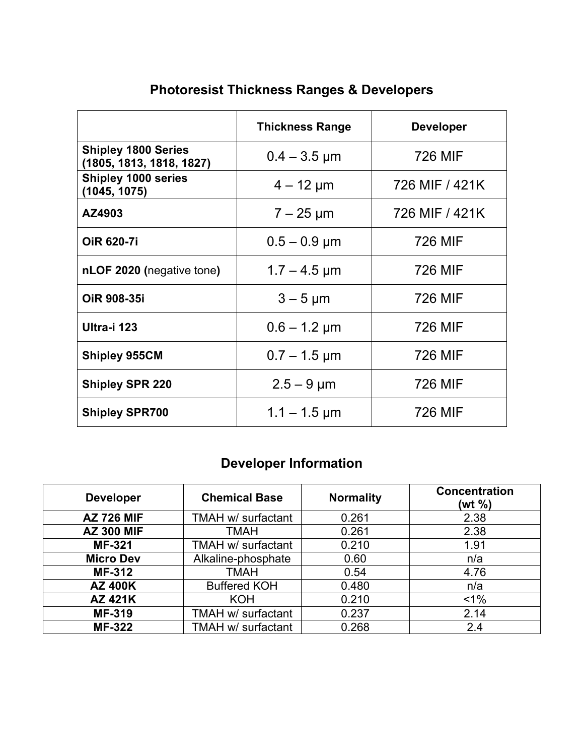|                                                        | <b>Thickness Range</b>       | <b>Developer</b> |
|--------------------------------------------------------|------------------------------|------------------|
| <b>Shipley 1800 Series</b><br>(1805, 1813, 1818, 1827) | $0.4 - 3.5 \,\mu m$          | 726 MIF          |
| <b>Shipley 1000 series</b><br>(1045, 1075)             | $4 - 12 \mu m$               | 726 MIF / 421K   |
| AZ4903                                                 | $7 - 25 \mu m$               | 726 MIF / 421K   |
| <b>OIR 620-71</b>                                      | $0.5 - 0.9 \mu m$            | 726 MIF          |
| nLOF 2020 (negative tone)                              | $1.7 - 4.5 \,\mathrm{\mu m}$ | 726 MIF          |
| <b>OIR 908-351</b>                                     | $3 - 5 \mu m$                | 726 MIF          |
| Ultra-i 123                                            | $0.6 - 1.2 \mu m$            | 726 MIF          |
| <b>Shipley 955CM</b>                                   | $0.7 - 1.5 \,\mathrm{\mu m}$ | 726 MIF          |
| <b>Shipley SPR 220</b>                                 | $2.5 - 9 \,\mu m$            | <b>726 MIF</b>   |
| <b>Shipley SPR700</b>                                  | $1.1 - 1.5 \,\text{\mu m}$   | 726 MIF          |

# **Photoresist Thickness Ranges & Developers**

# **Developer Information**

| <b>Developer</b>  | <b>Chemical Base</b> | <b>Normality</b> | <b>Concentration</b><br>(wt %) |
|-------------------|----------------------|------------------|--------------------------------|
| <b>AZ 726 MIF</b> | TMAH w/ surfactant   | 0.261            | 2.38                           |
| <b>AZ 300 MIF</b> | <b>TMAH</b>          | 0.261            | 2.38                           |
| <b>MF-321</b>     | TMAH w/ surfactant   | 0.210            | 1.91                           |
| <b>Micro Dev</b>  | Alkaline-phosphate   | 0.60             | n/a                            |
| <b>MF-312</b>     | <b>TMAH</b>          | 0.54             | 4.76                           |
| <b>AZ 400K</b>    | <b>Buffered KOH</b>  | 0.480            | n/a                            |
| <b>AZ 421K</b>    | <b>KOH</b>           | 0.210            | $1\%$                          |
| <b>MF-319</b>     | TMAH w/ surfactant   | 0.237            | 2.14                           |
| <b>MF-322</b>     | TMAH w/ surfactant   | 0.268            | 2.4                            |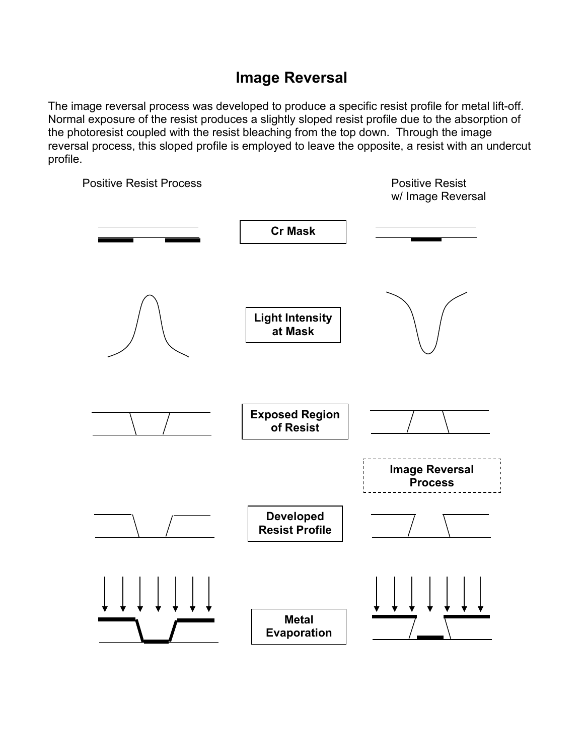#### **Image Reversal**

The image reversal process was developed to produce a specific resist profile for metal lift-off. Normal exposure of the resist produces a slightly sloped resist profile due to the absorption of the photoresist coupled with the resist bleaching from the top down. Through the image reversal process, this sloped profile is employed to leave the opposite, a resist with an undercut profile.

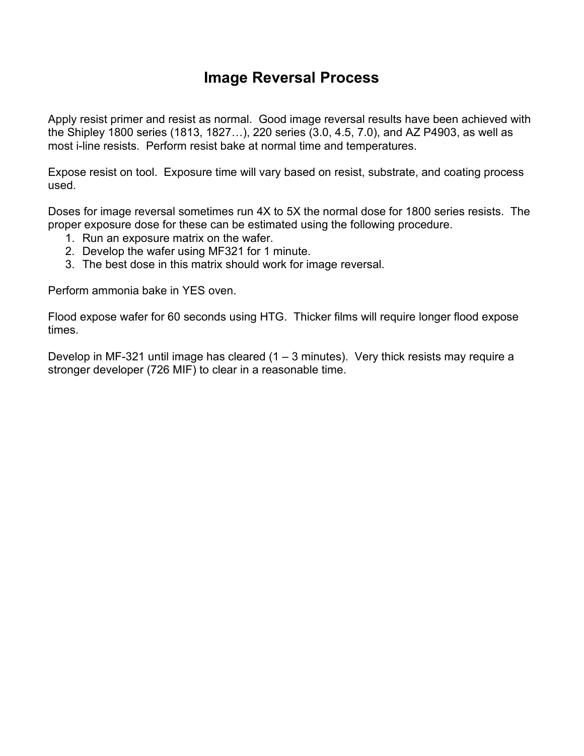#### **Image Reversal Process**

Apply resist primer and resist as normal. Good image reversal results have been achieved with the Shipley 1800 series (1813, 1827…), 220 series (3.0, 4.5, 7.0), and AZ P4903, as well as most i-line resists. Perform resist bake at normal time and temperatures.

Expose resist on tool. Exposure time will vary based on resist, substrate, and coating process used.

Doses for image reversal sometimes run 4X to 5X the normal dose for 1800 series resists. The proper exposure dose for these can be estimated using the following procedure.

- 1. Run an exposure matrix on the wafer.
- 2. Develop the wafer using MF321 for 1 minute.
- 3. The best dose in this matrix should work for image reversal.

Perform ammonia bake in YES oven.

Flood expose wafer for 60 seconds using HTG. Thicker films will require longer flood expose times.

Develop in MF-321 until image has cleared (1 – 3 minutes). Very thick resists may require a stronger developer (726 MIF) to clear in a reasonable time.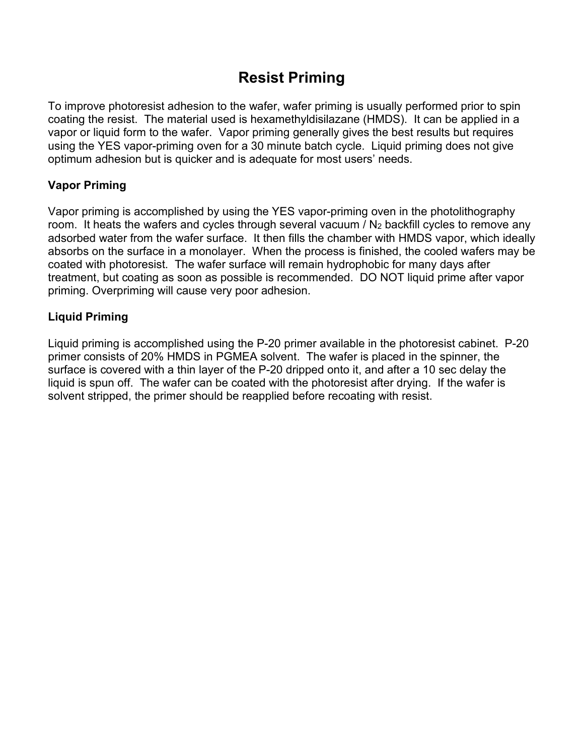## **Resist Priming**

To improve photoresist adhesion to the wafer, wafer priming is usually performed prior to spin coating the resist. The material used is hexamethyldisilazane (HMDS). It can be applied in a vapor or liquid form to the wafer. Vapor priming generally gives the best results but requires using the YES vapor-priming oven for a 30 minute batch cycle. Liquid priming does not give optimum adhesion but is quicker and is adequate for most users' needs.

#### **Vapor Priming**

Vapor priming is accomplished by using the YES vapor-priming oven in the photolithography room. It heats the wafers and cycles through several vacuum / N<sub>2</sub> backfill cycles to remove any adsorbed water from the wafer surface. It then fills the chamber with HMDS vapor, which ideally absorbs on the surface in a monolayer. When the process is finished, the cooled wafers may be coated with photoresist. The wafer surface will remain hydrophobic for many days after treatment, but coating as soon as possible is recommended. DO NOT liquid prime after vapor priming. Overpriming will cause very poor adhesion.

#### **Liquid Priming**

Liquid priming is accomplished using the P-20 primer available in the photoresist cabinet. P-20 primer consists of 20% HMDS in PGMEA solvent. The wafer is placed in the spinner, the surface is covered with a thin layer of the P-20 dripped onto it, and after a 10 sec delay the liquid is spun off. The wafer can be coated with the photoresist after drying. If the wafer is solvent stripped, the primer should be reapplied before recoating with resist.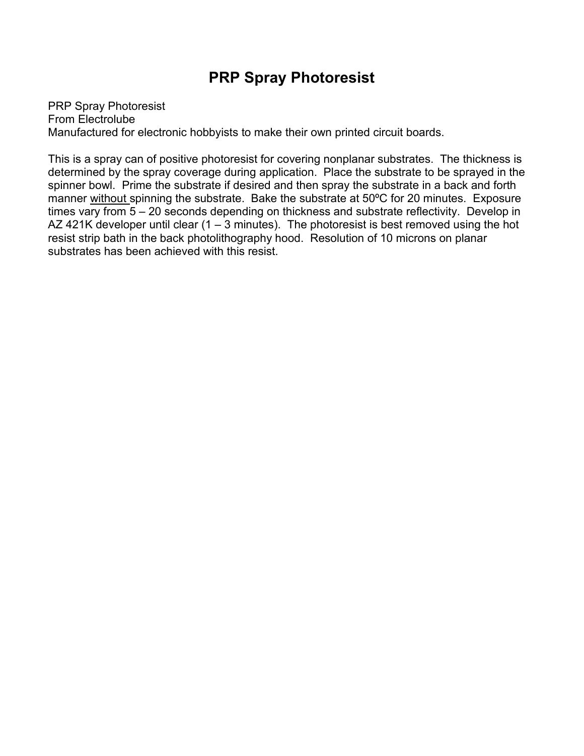### **PRP Spray Photoresist**

PRP Spray Photoresist From Electrolube Manufactured for electronic hobbyists to make their own printed circuit boards.

This is a spray can of positive photoresist for covering nonplanar substrates. The thickness is determined by the spray coverage during application. Place the substrate to be sprayed in the spinner bowl. Prime the substrate if desired and then spray the substrate in a back and forth manner without spinning the substrate. Bake the substrate at 50ºC for 20 minutes. Exposure times vary from 5 – 20 seconds depending on thickness and substrate reflectivity. Develop in AZ 421K developer until clear (1 – 3 minutes). The photoresist is best removed using the hot resist strip bath in the back photolithography hood. Resolution of 10 microns on planar substrates has been achieved with this resist.